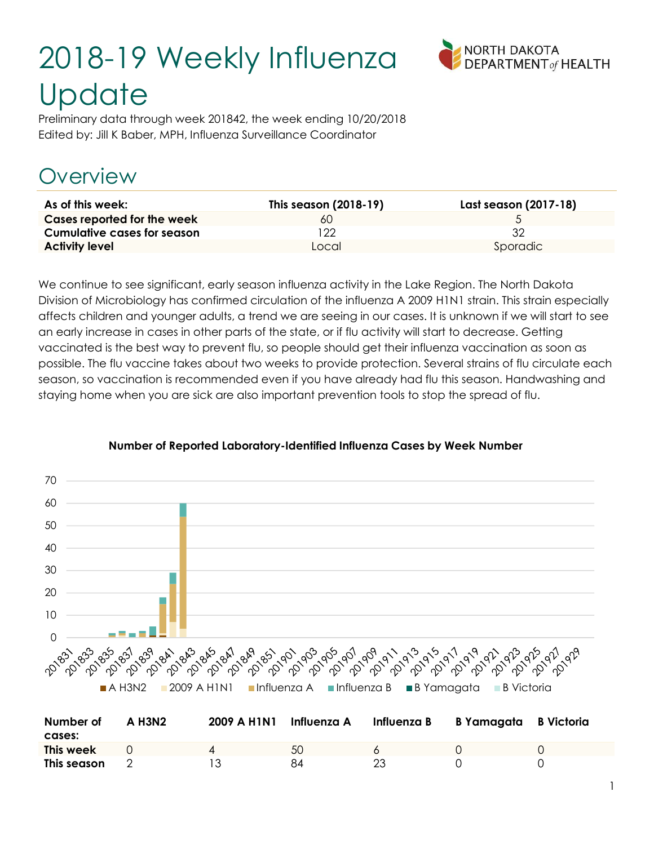# 2018-19 Weekly Influenza **Update**



Preliminary data through week 201842, the week ending 10/20/2018 Edited by: Jill K Baber, MPH, Influenza Surveillance Coordinator

# Overview

| As of this week:                   | This season (2018-19) | Last season (2017-18) |
|------------------------------------|-----------------------|-----------------------|
| Cases reported for the week        | 60                    |                       |
| <b>Cumulative cases for season</b> | ၇၇                    | 32                    |
| <b>Activity level</b>              | Local                 | Sporadic              |

We continue to see significant, early season influenza activity in the Lake Region. The North Dakota Division of Microbiology has confirmed circulation of the influenza A 2009 H1N1 strain. This strain especially affects children and younger adults, a trend we are seeing in our cases. It is unknown if we will start to see an early increase in cases in other parts of the state, or if flu activity will start to decrease. Getting vaccinated is the best way to prevent flu, so people should get their influenza vaccination as soon as possible. The flu vaccine takes about two weeks to provide protection. Several strains of flu circulate each season, so vaccination is recommended even if you have already had flu this season. Handwashing and staying home when you are sick are also important prevention tools to stop the spread of flu.



#### Number of Reported Laboratory-Identified Influenza Cases by Week Number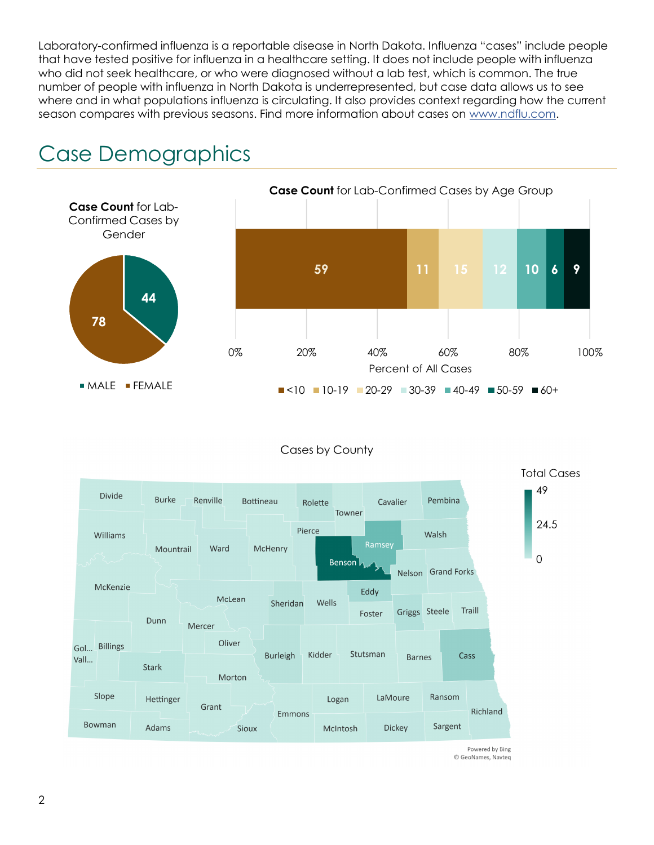Laboratory-confirmed influenza is a reportable disease in North Dakota. Influenza "cases" include people that have tested positive for influenza in a healthcare setting. It does not include people with influenza who did not seek healthcare, or who were diagnosed without a lab test, which is common. The true number of people with influenza in North Dakota is underrepresented, but case data allows us to see where and in what populations influenza is circulating. It also provides context regarding how the current season compares with previous seasons. Find more information about cases on www.ndflu.com.









Powered by Bing © GeoNames, Navteq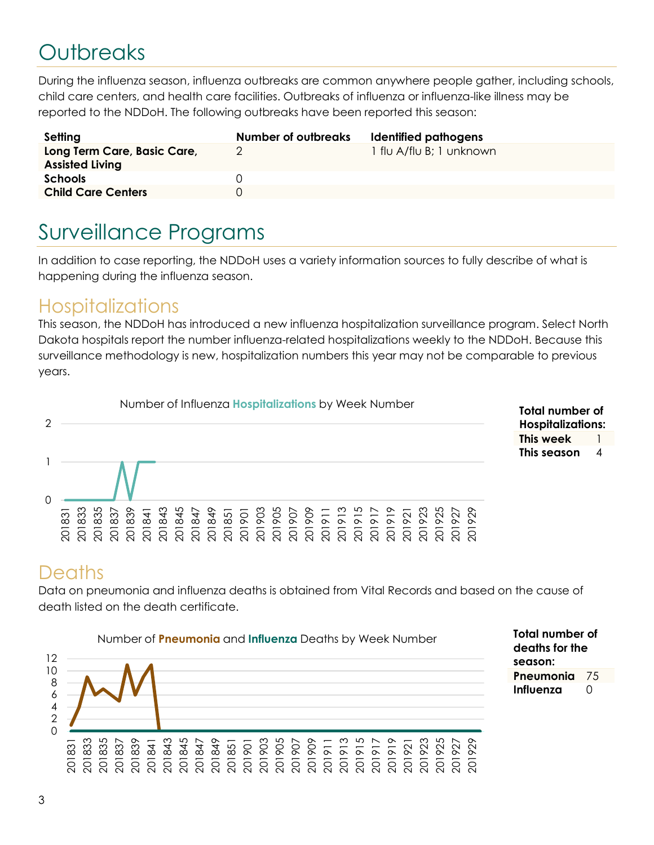# **Outbreaks**

During the influenza season, influenza outbreaks are common anywhere people gather, including schools, child care centers, and health care facilities. Outbreaks of influenza or influenza-like illness may be reported to the NDDoH. The following outbreaks have been reported this season:

| Setting                                               | Number of outbreaks | Identified pathogens     |
|-------------------------------------------------------|---------------------|--------------------------|
| Long Term Care, Basic Care,<br><b>Assisted Living</b> |                     | 1 flu A/flu B; 1 unknown |
| <b>Schools</b>                                        |                     |                          |
| <b>Child Care Centers</b>                             |                     |                          |

## Surveillance Programs

In addition to case reporting, the NDDoH uses a variety information sources to fully describe of what is happening during the influenza season.

#### **Hospitalizations**

This season, the NDDoH has introduced a new influenza hospitalization surveillance program. Select North Dakota hospitals report the number influenza-related hospitalizations weekly to the NDDoH. Because this surveillance methodology is new, hospitalization numbers this year may not be comparable to previous years.



| Total number of          |   |  |  |
|--------------------------|---|--|--|
| <b>Hospitalizations:</b> |   |  |  |
| This week                |   |  |  |
| This season              | 4 |  |  |

Total number of deaths for the

Pneumonia 75 Influenza 0

season:

#### **Deaths**

Data on pneumonia and influenza deaths is obtained from Vital Records and based on the cause of death listed on the death certificate.

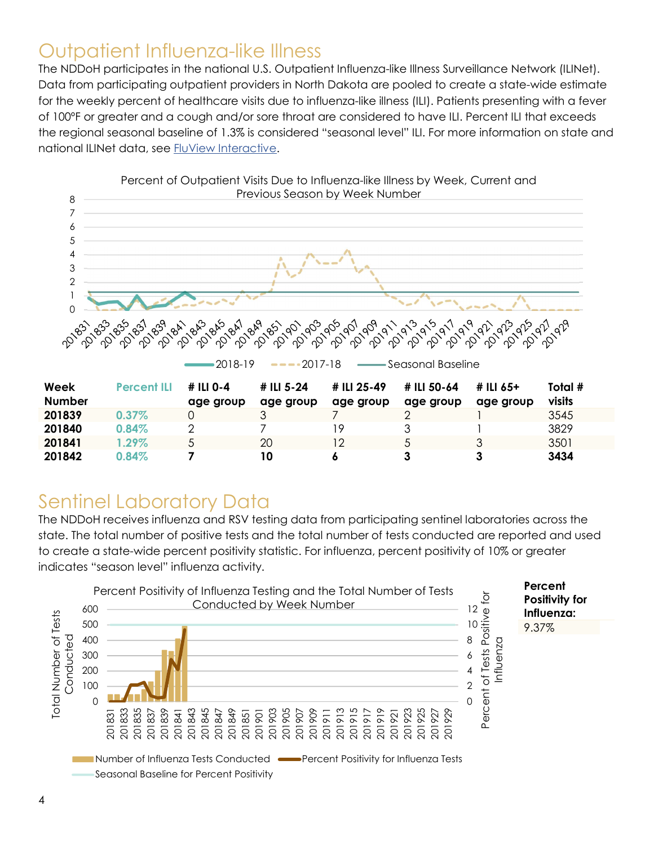#### Outpatient Influenza-like Illness

The NDDoH participates in the national U.S. Outpatient Influenza-like Illness Surveillance Network (ILINet). Data from participating outpatient providers in North Dakota are pooled to create a state-wide estimate for the weekly percent of healthcare visits due to influenza-like illness (ILI). Patients presenting with a fever of 100ºF or greater and a cough and/or sore throat are considered to have ILI. Percent ILI that exceeds the regional seasonal baseline of 1.3% is considered "seasonal level" ILI. For more information on state and national ILINet data, see FluView Interactive.



### Sentinel Laboratory Data

The NDDoH receives influenza and RSV testing data from participating sentinel laboratories across the state. The total number of positive tests and the total number of tests conducted are reported and used to create a state-wide percent positivity statistic. For influenza, percent positivity of 10% or greater indicates "season level" influenza activity.

 $201842$   $0.84\%$  7 10 6 3 3 3 3434

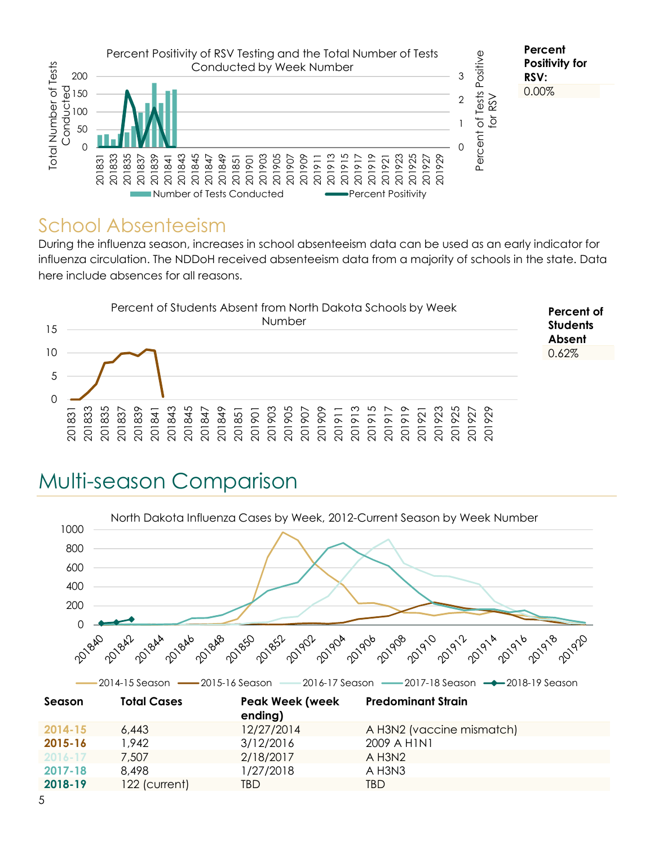

#### School Absenteeism

During the influenza season, increases in school absenteeism data can be used as an early indicator for influenza circulation. The NDDoH received absenteeism data from a majority of schools in the state. Data here include absences for all reasons.



# Multi-season Comparison